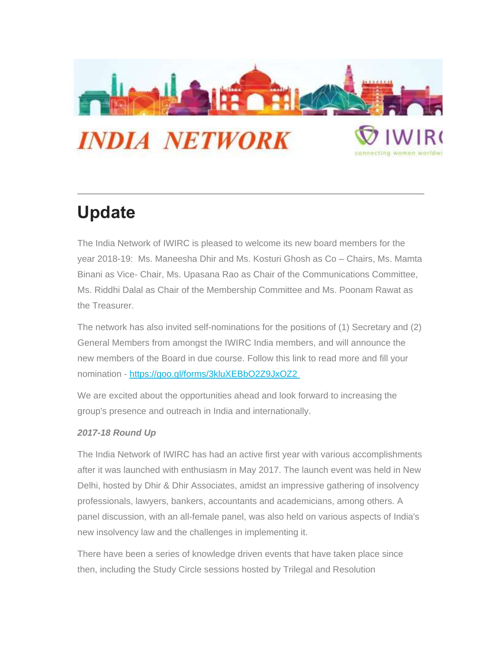

## **Update**

The India Network of IWIRC is pleased to welcome its new board members for the year 2018-19: Ms. Maneesha Dhir and Ms. Kosturi Ghosh as Co – Chairs, Ms. Mamta Binani as Vice- Chair, Ms. Upasana Rao as Chair of the Communications Committee, Ms. Riddhi Dalal as Chair of the Membership Committee and Ms. Poonam Rawat as the Treasurer.

The network has also invited self-nominations for the positions of (1) Secretary and (2) General Members from amongst the IWIRC India members, and will announce the new members of the Board in due course. Follow this link to read more and fill your nomination - [https://goo.gl/forms/3kluXEBbO2Z9JxOZ2](https://urldefense.proofpoint.com/v2/url?u=https-3A__iwirc.us18.list-2Dmanage.com_track_click-3Fu-3Db1585a1fe6391922555ad1fb4-26id-3D995e266202-26e-3Da047cb93e3&d=DwMFaQ&c=LbONZuVfeX9r3BKVI3DiW15ySOqOCs2yRrcUdzld8D4&r=TlVD7_LJbdxahMLltnkHtdeWqpfxDdYi5sbEQSGqdFw&m=fpIH4C9NFOXR16TfhJy9yiverVn7JaH40ZBvymKwhgo&s=MBLcc5GFeNZ2T5c7ScerKjgb_4dQE_YN9qY8Bvy-b2s&e=)

We are excited about the opportunities ahead and look forward to increasing the group's presence and outreach in India and internationally.

## *2017-18 Round Up*

The India Network of IWIRC has had an active first year with various accomplishments after it was launched with enthusiasm in May 2017. The launch event was held in New Delhi, hosted by Dhir & Dhir Associates, amidst an impressive gathering of insolvency professionals, lawyers, bankers, accountants and academicians, among others. A panel discussion, with an all-female panel, was also held on various aspects of India's new insolvency law and the challenges in implementing it.

There have been a series of knowledge driven events that have taken place since then, including the Study Circle sessions hosted by Trilegal and Resolution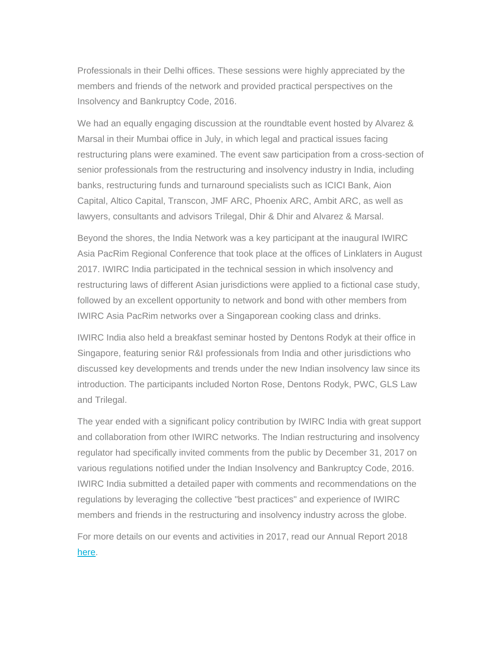Professionals in their Delhi offices. These sessions were highly appreciated by the members and friends of the network and provided practical perspectives on the Insolvency and Bankruptcy Code, 2016.

We had an equally engaging discussion at the roundtable event hosted by Alvarez & Marsal in their Mumbai office in July, in which legal and practical issues facing restructuring plans were examined. The event saw participation from a cross-section of senior professionals from the restructuring and insolvency industry in India, including banks, restructuring funds and turnaround specialists such as ICICI Bank, Aion Capital, Altico Capital, Transcon, JMF ARC, Phoenix ARC, Ambit ARC, as well as lawyers, consultants and advisors Trilegal, Dhir & Dhir and Alvarez & Marsal.

Beyond the shores, the India Network was a key participant at the inaugural IWIRC Asia PacRim Regional Conference that took place at the offices of Linklaters in August 2017. IWIRC India participated in the technical session in which insolvency and restructuring laws of different Asian jurisdictions were applied to a fictional case study, followed by an excellent opportunity to network and bond with other members from IWIRC Asia PacRim networks over a Singaporean cooking class and drinks.

IWIRC India also held a breakfast seminar hosted by Dentons Rodyk at their office in Singapore, featuring senior R&I professionals from India and other jurisdictions who discussed key developments and trends under the new Indian insolvency law since its introduction. The participants included Norton Rose, Dentons Rodyk, PWC, GLS Law and Trilegal.

The year ended with a significant policy contribution by IWIRC India with great support and collaboration from other IWIRC networks. The Indian restructuring and insolvency regulator had specifically invited comments from the public by December 31, 2017 on various regulations notified under the Indian Insolvency and Bankruptcy Code, 2016. IWIRC India submitted a detailed paper with comments and recommendations on the regulations by leveraging the collective "best practices" and experience of IWIRC members and friends in the restructuring and insolvency industry across the globe.

For more details on our events and activities in 2017, read our Annual Report 2018 [here.](https://urldefense.proofpoint.com/v2/url?u=https-3A__iwirc.us18.list-2Dmanage.com_track_click-3Fu-3Db1585a1fe6391922555ad1fb4-26id-3D362570ff08-26e-3Da047cb93e3&d=DwMFaQ&c=LbONZuVfeX9r3BKVI3DiW15ySOqOCs2yRrcUdzld8D4&r=TlVD7_LJbdxahMLltnkHtdeWqpfxDdYi5sbEQSGqdFw&m=fpIH4C9NFOXR16TfhJy9yiverVn7JaH40ZBvymKwhgo&s=CsoOA8w5-3tbnnNpqSsou_LA3uSn1gke6vA21s2rjvE&e=)